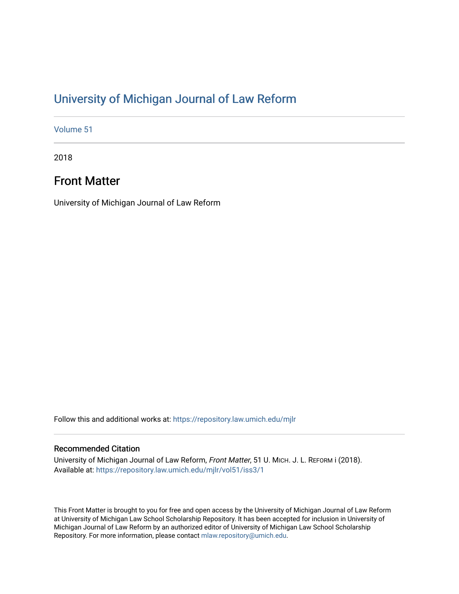## [University of Michigan Journal of Law Reform](https://repository.law.umich.edu/mjlr)

[Volume 51](https://repository.law.umich.edu/mjlr/vol51)

2018

## Front Matter

University of Michigan Journal of Law Reform

Follow this and additional works at: [https://repository.law.umich.edu/mjlr](https://repository.law.umich.edu/mjlr?utm_source=repository.law.umich.edu%2Fmjlr%2Fvol51%2Fiss3%2F1&utm_medium=PDF&utm_campaign=PDFCoverPages) 

### Recommended Citation

University of Michigan Journal of Law Reform, Front Matter, 51 U. MICH. J. L. REFORM i (2018). Available at: [https://repository.law.umich.edu/mjlr/vol51/iss3/1](https://repository.law.umich.edu/mjlr/vol51/iss3/1?utm_source=repository.law.umich.edu%2Fmjlr%2Fvol51%2Fiss3%2F1&utm_medium=PDF&utm_campaign=PDFCoverPages) 

This Front Matter is brought to you for free and open access by the University of Michigan Journal of Law Reform at University of Michigan Law School Scholarship Repository. It has been accepted for inclusion in University of Michigan Journal of Law Reform by an authorized editor of University of Michigan Law School Scholarship Repository. For more information, please contact [mlaw.repository@umich.edu](mailto:mlaw.repository@umich.edu).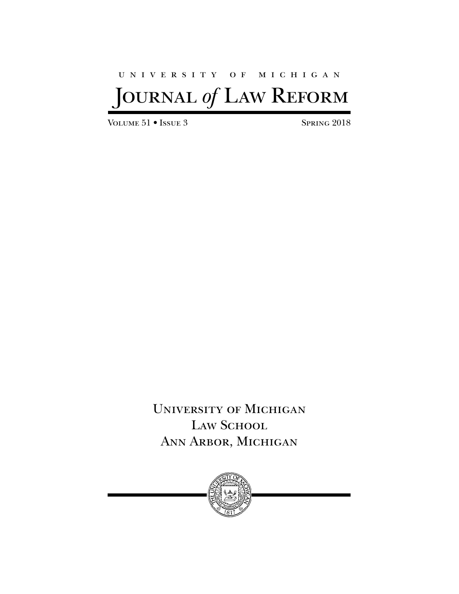## university of michigan

# JOURNAL *of* LAW REFORM

VOLUME 51 • ISSUE 3 SPRING 2018

University of Michigan LAW SCHOOL Ann Arbor, Michigan

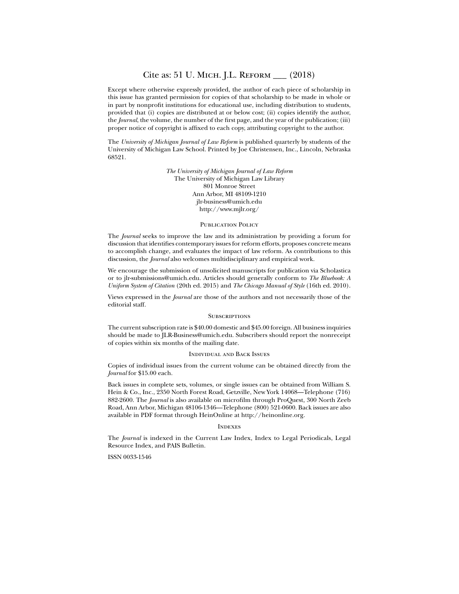### Cite as: 51 U. Mich. J.L. Reform \_\_\_ (2018)

Except where otherwise expressly provided, the author of each piece of scholarship in this issue has granted permission for copies of that scholarship to be made in whole or in part by nonprofit institutions for educational use, including distribution to students, provided that (i) copies are distributed at or below cost; (ii) copies identify the author, the *Journal*, the volume, the number of the first page, and the year of the publication; (iii) proper notice of copyright is affixed to each copy, attributing copyright to the author.

The *University of Michigan Journal of Law Reform* is published quarterly by students of the University of Michigan Law School. Printed by Joe Christensen, Inc., Lincoln, Nebraska 68521.

> *The University of Michigan Journal of Law Reform* The University of Michigan Law Library 801 Monroe Street Ann Arbor, MI 48109-1210 jlr-business@umich.edu http://www.mjlr.org/

#### PUBLICATION POLICY

The *Journal* seeks to improve the law and its administration by providing a forum for discussion that identifies contemporary issues for reform efforts, proposes concrete means to accomplish change, and evaluates the impact of law reform. As contributions to this discussion, the *Journal* also welcomes multidisciplinary and empirical work.

We encourage the submission of unsolicited manuscripts for publication via Scholastica or to jlr-submissions@umich.edu. Articles should generally conform to *The Bluebook: A Uniform System of Citation* (20th ed. 2015) and *The Chicago Manual of Style* (16th ed. 2010).

Views expressed in the *Journal* are those of the authors and not necessarily those of the editorial staff.

### **SUBSCRIPTIONS**

The current subscription rate is \$40.00 domestic and \$45.00 foreign. All business inquiries should be made to JLR-Business@umich.edu. Subscribers should report the nonreceipt of copies within six months of the mailing date.

### Individual and Back Issues

Copies of individual issues from the current volume can be obtained directly from the *Journal* for \$15.00 each.

Back issues in complete sets, volumes, or single issues can be obtained from William S. Hein & Co., Inc., 2350 North Forest Road, Getzville, New York 14068—Telephone (716) 882-2600. The *Journal* is also available on microfilm through ProQuest, 300 North Zeeb Road, Ann Arbor, Michigan 48106-1346—Telephone (800) 521-0600. Back issues are also available in PDF format through HeinOnline at http://heinonline.org.

### **INDEXES**

The *Journal* is indexed in the Current Law Index, Index to Legal Periodicals, Legal Resource Index, and PAIS Bulletin.

ISSN 0033-1546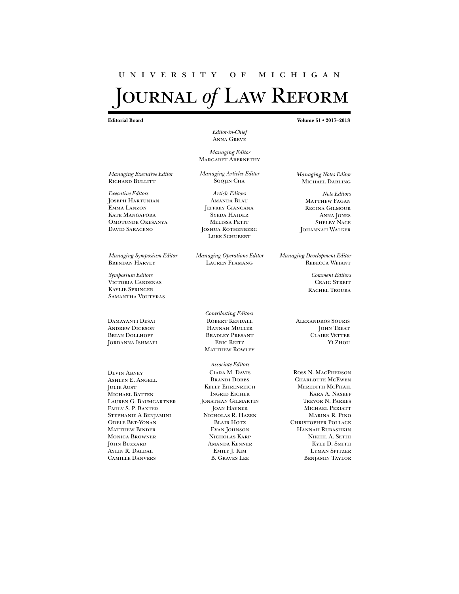## university of michigan OURNAL of LAW REFORM

**Editorial Board Volume 51 • 2017–2018**

*Editor-in-Chief* Anna Greve

*Managing Editor* Margaret Abernethy

*Managing Articles Editor* Soojin Cha

*Article Editors* Amanda Blau JEFFREY GIANCANA Syeda Haider Melissa Petit Joshua Rothenberg LUKE SCHUBERT

*Managing Operations Editor* Lauren Flamang

*Managing Notes Editor* Michael Darling

*Note Editors* MATTHEW FAGAN Regina Gilmour ANNA JONES Shelby Nace Johannah Walker

*Managing Development Editor* Rebecca Weiant

> *Comment Editors* **CRAIG STREIT** RACHEL TROUBA

*Contributing Editors* ROBERT KENDALL Hannah Muller Bradley Presant Eric Reitz **MATTHEW ROWLEY** 

*Associate Editors* Ciara M. Davis BRANDI DOBBS Kelly Ehrenreich Ingrid Eicher Jonathan Gilmartin Joan Hayner Nicholas R. Hazen Blair Hotz Evan Johnson Nicholas Karp Amanda Kenner Emily J. Kim B. Graves Lee

JOHN TREAT Claire Vetter Yi Zhou

Ross N. MacPherson Charlotte McEwen Meredith McPhail Kara A. Naseef Trevor N. Parkes Michael Periatt Marina R. Pino Christopher Pollack Hannah Rubashkin Nikhil A. Sethi KYLE D. SMITH Lyman Spitzer Benjamin Taylor

*Managing Executive Editor* RICHARD BULLITT

*Executive Editors* Joseph Hartunian Emma Lanzon KATE MANGAPORA Omotunde Okesanya DAVID SARACENO

*Managing Symposium Editor* Brendan Harvey

*Symposium Editors* Victoria Cardenas Kaylie Springer Samantha Voutyras

Damayanti Desai ANDREW DICKSON Brian Dollhopf JORDANNA ISHMAEL

Devin Abney Ashlyn E. Angell **JULIE AUST** MICHAEL BATTEN Lauren G. Baumgartner Emily S. P. Baxter Stephanie A Benjamini Odele Bet-Yonan MATTHEW BINDER Monica Browner JOHN BUZZARD Aylin R. Daldal Camille Danvers

Alexandros Souris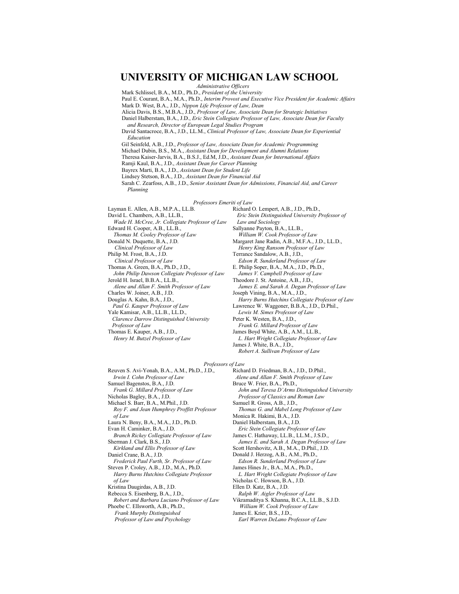## **UNIVERSITY OF MICHIGAN LAW SCHOOL**

*Administrative Officers*

Mark Schlissel, B.A., M.D., Ph.D., *President of the University*

Paul E. Courant, B.A., M.A., Ph.D., *Interim Provost and Executive Vice President for Academic Affairs*

Mark D. West, B.A., J.D., *Nippon Life Professor of Law, Dean*

Alicia Davis, B.S., M.B.A., J.D., *Professor of Law, Associate Dean for Strategic Initiatives*

Daniel Halberstam, B.A., J.D., *Eric Stein Collegiate Professor of Law, Associate Dean for Faculty*

*and Research, Director of European Legal Studies Program*

David Santacroce, B.A., J.D., LL.M., *Clinical Professor of Law, Associate Dean for Experiential Education*

Gil Seinfeld, A.B., J.D., *Professor of Law, Associate Dean for Academic Programming*

Michael Dubin, B.S., M.A., *Assistant Dean for Development and Alumni Relations*

Theresa Kaiser-Jarvis, B.A., B.S.J., Ed.M, J.D., *Assistant Dean for International Affairs*

Ramji Kaul, B.A., J.D., *Assistant Dean for Career Planning*

Bayrex Marti, B.A., J.D., *Assistant Dean for Student Life*

Lindsey Stetson, B.A., J.D., *Assistant Dean for Financial Aid*

Sarah C. Zearfoss, A.B., J.D., *Senior Assistant Dean for Admissions, Financial Aid, and Career Planning*

*Professors Emeriti of Law*

Layman E. Allen, A.B., M.P.A., LL.B. David L. Chambers, A.B., LL.B., *Wade H. McCree, Jr. Collegiate Professor of Law* Edward H. Cooper, A.B., LL.B., *Thomas M. Cooley Professor of Law* Donald N. Duquette, B.A., J.D. *Clinical Professor of Law* Philip M. Frost, B.A., J.D. *Clinical Professor of Law* Thomas A. Green, B.A., Ph.D., J.D., *John Philip Dawson Collegiate Professor of Law* Jerold H. Israel, B.B.A., LL.B., *Alene and Allan F. Smith Professor of Law* Charles W. Joiner, A.B., J.D. Douglas A. Kahn, B.A., J.D., *Paul G. Kauper Professor of Law* Yale Kamisar, A.B., LL.B., LL.D., *Clarence Darrow Distinguished University Professor of Law* Thomas E. Kauper, A.B., J.D., *Henry M. Butzel Professor of Law*

Richard O. Lempert, A.B., J.D., Ph.D., *Eric Stein Distinguished University Professor of Law and Sociology* Sallyanne Payton, B.A., LL.B., *William W. Cook Professor of Law* Margaret Jane Radin, A.B., M.F.A., J.D., LL.D., *Henry King Ransom Professor of Law* Terrance Sandalow, A.B., J.D., *Edson R. Sunderland Professor of Law* E. Philip Soper, B.A., M.A., J.D., Ph.D., *James V. Campbell Professor of Law* Theodore J. St. Antoine, A.B., J.D., *James E. and Sarah A. Degan Professor of Law* Joseph Vining, B.A., M.A., J.D., *Harry Burns Hutchins Collegiate Professor of Law* Lawrence W. Waggoner, B.B.A., J.D., D.Phil., *Lewis M. Simes Professor of Law* Peter K. Westen, B.A., J.D., *Frank G. Millard Professor of Law* James Boyd White, A.B., A.M., LL.B., *L. Hart Wright Collegiate Professor of Law* James J. White, B.A., J.D.,

*Robert A. Sullivan Professor of Law*

*Professors of Law*

Reuven S. Avi-Yonah, B.A., A.M., Ph.D., J.D., *Irwin I. Cohn Professor of Law* Samuel Bagenstos, B.A., J.D. *Frank G. Millard Professor of Law* Nicholas Bagley, B.A., J.D. Michael S. Barr, B.A., M.Phil., J.D. *Roy F. and Jean Humphrey Proffitt Professor of Law* Laura N. Beny, B.A., M.A., J.D., Ph.D. Evan H. Caminker, B.A., J.D. *Branch Rickey Collegiate Professor of Law* Sherman J. Clark, B.S., J.D. *Kirkland and Ellis Professor of Law* Daniel Crane, B.A., J.D. *Frederick Paul Furth, Sr. Professor of Law* Steven P. Croley, A.B., J.D., M.A., Ph.D. *Harry Burns Hutchins Collegiate Professor of Law* Kristina Daugirdas, A.B., J.D. Rebecca S. Eisenberg, B.A., J.D., *Robert and Barbara Luciano Professor of Law* Phoebe C. Ellsworth, A.B., Ph.D., *Frank Murphy Distinguished Professor of Law and Psychology*

Richard D. Friedman, B.A., J.D., D.Phil., *Alene and Allan F. Smith Professor of Law* Bruce W. Frier, B.A., Ph.D., *John and Teresa D'Arms Distinguished University Professor of Classics and Roman Law* Samuel R. Gross, A.B., J.D., *Thomas G. and Mabel Long Professor of Law* Monica R. Hakimi, B.A., J.D. Daniel Halberstam, B.A., J.D. *Eric Stein Collegiate Professor of Law* James C. Hathaway, LL.B., LL.M., J.S.D., *James E. and Sarah A. Degan Professor of Law* Scott Hershovitz, A.B., M.A., D.Phil., J.D. Donald J. Herzog, A.B., A.M., Ph.D., *Edson R. Sunderland Professor of Law* James Hines Jr., B.A., M.A., Ph.D., *L. Hart Wright Collegiate Professor of Law* Nicholas C. Howson, B.A., J.D. Ellen D. Katz, B.A., J.D. *Ralph W. Aigler Professor of Law* Vikramaditya S. Khanna, B.C.A., LL.B., S.J.D. *William W. Cook Professor of Law* James E. Krier, B.S., J.D.,

*Earl Warren DeLano Professor of Law*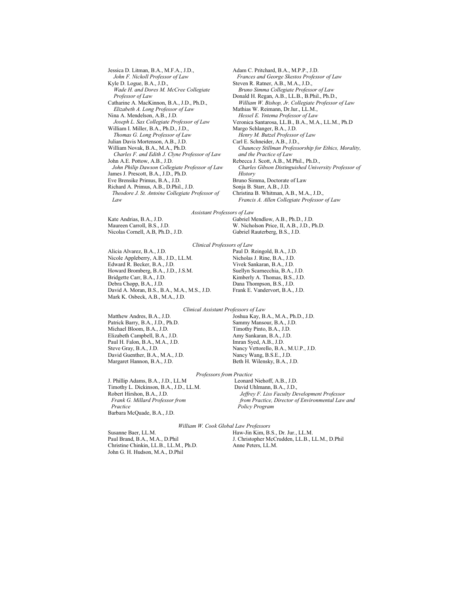Jessica D. Litman, B.A., M.F.A., J.D., *John F. Nickoll Professor of Law* Kyle D. Logue, B.A., J.D., *Wade H. and Dores M. McCree Collegiate Professor of Law* Catharine A. MacKinnon, B.A., J.D., Ph.D., *Elizabeth A. Long Professor of Law* Nina A. Mendelson, A.B., J.D. *Joseph L. Sax Collegiate Professor of Law* William I. Miller, B.A., Ph.D., J.D., *Thomas G. Long Professor of Law* Julian Davis Mortenson, A.B., J.D. William Novak, B.A., M.A., Ph.D. *Charles F. and Edith J. Clyne Professor of Law* John A.E. Pottow, A.B., J.D. *John Philip Dawson Collegiate Professor of Law* James J. Prescott, B.A., J.D., Ph.D. Eve Brensike Primus, B.A., J.D. Richard A. Primus, A.B., D.Phil., J.D. *Theodore J. St. Antoine Collegiate Professor of Law*

Donald H. Regan, A.B., LL.B., B.Phil., Ph.D., *William W. Bishop, Jr. Collegiate Professor of Law* Mathias W. Reimann, Dr.Iur., LL.M., *Hessel E. Yntema Professor of Law* Veronica Santarosa, LL.B., B.A., M.A., LL.M., Ph.D Margo Schlanger, B.A., J.D. *Henry M. Butzel Professor of Law* Carl E. Schneider, A.B., J.D., *Chauncey Stillman Professorship for Ethics, Morality, and the Practice of Law* Rebecca J. Scott, A.B., M.Phil., Ph.D., *Charles Gibson Distinguished University Professor of History* Bruno Simma, Doctorate of Law Sonja B. Starr, A.B., J.D. Christina B. Whitman, A.B., M.A., J.D., *Francis A. Allen Collegiate Professor of Law Assistant Professors of Law*

Kate Andrias, B.A., J.D. Maureen Carroll, B.S., J.D. Nicolas Cornell, A.B, Ph.D., J.D. Gabriel Mendlow, A.B., Ph.D., J.D. W. Nicholson Price, II, A.B., J.D., Ph.D. Gabriel Rauterberg, B.S., J.D.

Adam C. Pritchard, B.A., M.P.P., J.D.

Steven R. Ratner, A.B., M.A., J.D.,

*Frances and George Skestos Professor of Law*

*Bruno Simma Collegiate Professor of Law*

### Alicia Alvarez, B.A., J.D. Nicole Appleberry, A.B., J.D., LL.M. Edward R. Becker, B.A., J.D. Howard Bromberg, B.A., J.D., J.S.M. Bridgette Carr, B.A., J.D. Debra Chopp, B.A., J.D. David A. Moran, B.S., B.A., M.A., M.S., J.D. Mark K. Osbeck, A.B., M.A., J.D.

Paul D. Reingold, B.A., J.D. Nicholas J. Rine, B.A., J.D. Vivek Sankaran, B.A., J.D. Suellyn Scarnecchia, B.A., J.D. Kimberly A. Thomas, B.S., J.D. Dana Thompson, B.S., J.D. Frank E. Vandervort, B.A., J.D.

### *Clinical Assistant Professors of Law*

*Clinical Professors of Law*

Matthew Andres, B.A., J.D. Patrick Barry, B.A., J.D., Ph.D. Michael Bloom, B.A., J.D. Elizabeth Campbell, B.A., J.D. Paul H. Falon, B.A., M.A., J.D. Steve Gray, B.A., J.D. David Guenther, B.A., M.A., J.D. Margaret Hannon, B.A., J.D.

Joshua Kay, B.A., M.A., Ph.D., J.D. Sammy Mansour, B.A., J.D. Timothy Pinto, B.A., J.D. Amy Sankaran, B.A., J.D. Imran Syed, A.B., J.D. Nancy Vettorello, B.A., M.U.P., J.D. Nancy Wang, B.S.E., J.D. Beth H. Wilensky, B.A., J.D.

### *Professors from Practice*

J. Phillip Adams, B.A., J.D., LL.M Timothy L. Dickinson, B.A., J.D., LL.M. Robert Hirshon, B.A., J.D. *Frank G. Millard Professor from Practice* Barbara McQuade, B.A., J.D.

Leonard Niehoff, A.B., J.D. David Uhlmann, B.A., J.D., *Jeffrey F. Liss Faculty Development Professor from Practice, Director of Environmental Law and Policy Program*

### *William W. Cook Global Law Professors*

Susanne Baer, LL.M. Paul Brand, B.A., M.A., D.Phil Christine Chinkin, LL.B., LL.M., Ph.D. John G. H. Hudson, M.A., D.Phil

Haw-Jin Kim, B.S., Dr. Jur., LL.M. J. Christopher McCrudden, LL.B., LL.M., D.Phil Anne Peters, LL.M.